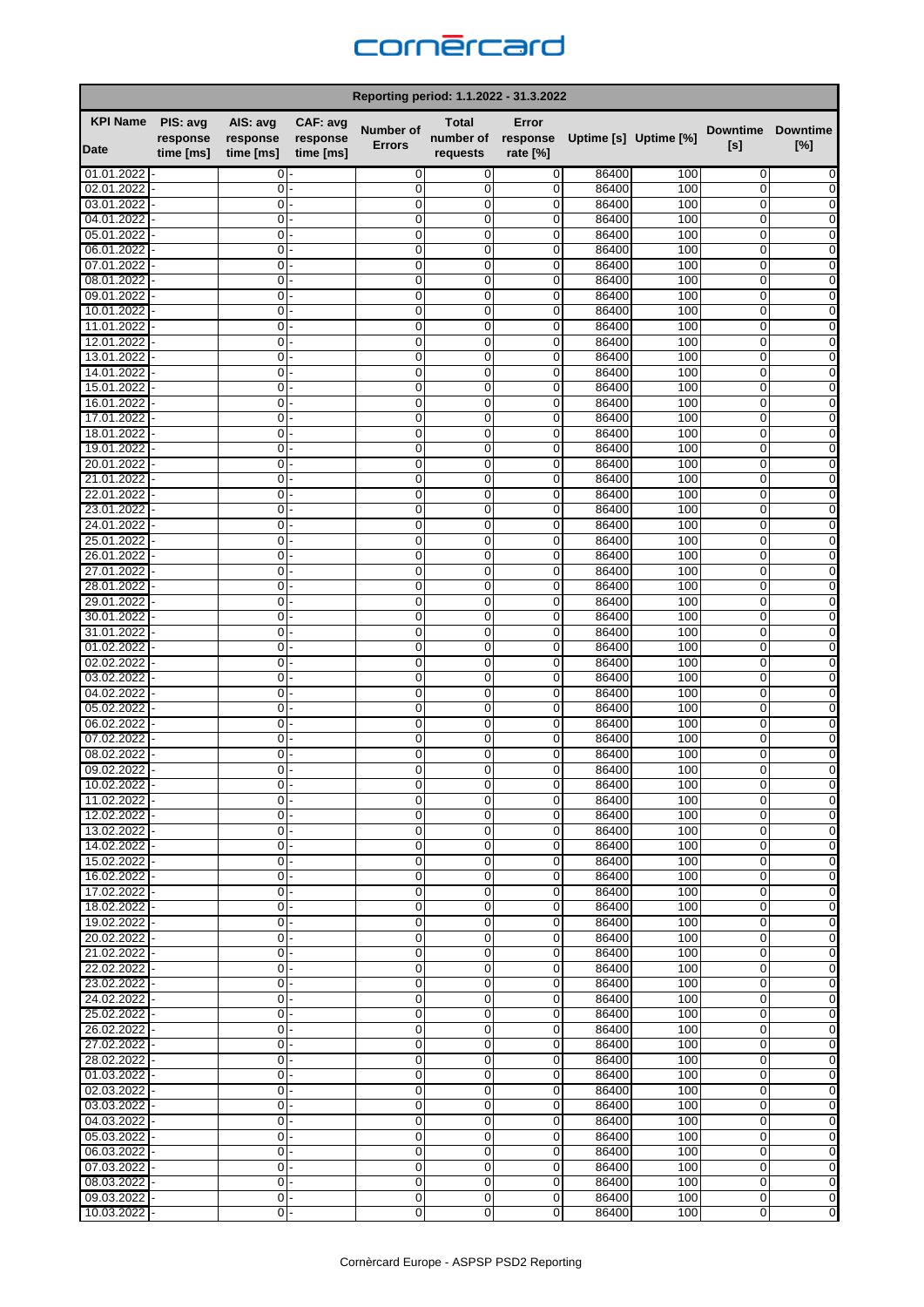

| Reporting period: 1.1.2022 - 31.3.2022 |           |                |           |                            |                     |                  |                       |            |                            |                        |  |
|----------------------------------------|-----------|----------------|-----------|----------------------------|---------------------|------------------|-----------------------|------------|----------------------------|------------------------|--|
| <b>KPI Name</b>                        | PIS: avg  | AIS: avg       | CAF: avg  |                            | Total               | Error            |                       |            |                            |                        |  |
|                                        | response  | response       | response  | Number of<br><b>Errors</b> | number of           | response         | Uptime [s] Uptime [%] |            | <b>Downtime</b><br>[s]     | <b>Downtime</b><br>[%] |  |
| Date                                   | time [ms] | time [ms]      | time [ms] |                            | requests            | rate [%]         |                       |            |                            |                        |  |
| 01.01.2022                             |           | 0              |           | $\mathbf 0$                | $\mathbf 0$         | 0                | 86400                 | 100        | 0                          | 0                      |  |
| 02.01.2022                             |           | $\mathbf 0$    |           | $\mathbf 0$                | 0                   | 0                | 86400                 | 100        | 0                          |                        |  |
| 03.01.2022                             |           | 0              |           | $\mathbf 0$                | 0                   | 0                | 86400                 | 100        | 0                          | 0                      |  |
| 04.01.2022                             |           | 0              |           | $\mathbf 0$                | 0                   | 0                | 86400                 | 100        | 0                          | 0                      |  |
| 05.01.2022                             |           | 0              |           | 0                          | 0                   | 0                | 86400                 | 100        | 0                          | 0                      |  |
| 06.01.2022<br>07.01.2022               |           | 0<br>0         |           | $\mathbf 0$<br>$\mathbf 0$ | $\mathbf 0$<br>0    | 0<br>$\mathbf 0$ | 86400<br>86400        | 100<br>100 | 0<br>0                     | 0<br>0                 |  |
| 08.01.2022                             |           | 0              |           | 0                          | 0                   | 0                | 86400                 | 100        | 0                          | 0                      |  |
| 09.01.2022                             |           | 0              |           | $\mathbf 0$                | 0                   | 0                | 86400                 | 100        | $\mathbf 0$                | 0                      |  |
| 10.01.2022                             |           | 0              |           | $\mathbf 0$                | 0                   | 0                | 86400                 | 100        | 0                          | 0                      |  |
| 11.01.2022                             |           | 0              |           | 0                          | 0                   | 0                | 86400                 | 100        | 0                          | 0                      |  |
| 12.01.2022                             |           | 0              |           | 0                          | 0                   | 0                | 86400                 | 100        | 0                          | 0                      |  |
| 13.01.2022                             |           | 0              |           | $\mathbf 0$                | 0                   | 0                | 86400                 | 100        | $\mathbf 0$                | 0                      |  |
| 14.01.2022                             |           | 0              |           | $\mathbf 0$                | 0                   | 0                | 86400                 | 100        | 0                          | 0                      |  |
| 15.01.2022                             |           | 0              |           | $\mathbf 0$                | $\mathbf 0$         | $\mathbf 0$      | 86400                 | 100        | $\mathbf 0$                | $\mathbf 0$            |  |
| 16.01.2022                             |           | 0              |           | $\mathbf 0$                | 0                   | 0                | 86400                 | 100        | 0                          | 0                      |  |
| 17.01.2022                             |           | 0              |           | 0                          | 0                   | 0                | 86400                 | 100        | 0                          | 0                      |  |
| 18.01.2022<br>19.01.2022               |           | 0<br>0         |           | $\mathbf 0$<br>0           | 0<br>0              | 0<br>0           | 86400<br>86400        | 100<br>100 | 0<br>0                     | 0<br>0                 |  |
| 20.01.2022                             |           | 0              |           | $\mathbf 0$                | 0                   | 0                | 86400                 | 100        | 0                          | 0                      |  |
| 21.01.2022                             |           | 0              |           | $\mathbf 0$                | 0                   | $\mathbf 0$      | 86400                 | 100        | 0                          | 0                      |  |
| 22.01.2022                             |           | 0              |           | $\mathbf 0$                | 0                   | 0                | 86400                 | 100        | 0                          | 0                      |  |
| 23.01.2022                             |           | 0              |           | $\mathbf 0$                | 0                   | 0                | 86400                 | 100        | $\mathbf 0$                | 0                      |  |
| 24.01.2022                             |           | 0              |           | $\mathbf 0$                | 0                   | 0                | 86400                 | 100        | 0                          | 0                      |  |
| 25.01.2022                             |           | 0              |           | 0                          | 0                   | 0                | 86400                 | 100        | 0                          | 0                      |  |
| 26.01.2022                             |           | 0              |           | $\mathbf 0$                | $\mathbf 0$         | $\mathbf 0$      | 86400                 | 100        | $\mathbf 0$                | 0                      |  |
| 27.01.2022                             |           | $\mathbf 0$    |           | $\mathbf 0$                | 0                   | 0                | 86400                 | 100        | 0                          | 0                      |  |
| 28.01.2022                             |           | 0              |           | $\mathbf 0$                | 0                   | 0                | 86400                 | 100        | 0                          | 0                      |  |
| 29.01.2022                             |           | 0              |           | $\mathbf 0$                | 0                   | 0                | 86400                 | 100        | 0                          | 0                      |  |
| 30.01.2022<br>31.01.2022               |           | 0<br>0         |           | $\mathbf 0$<br>$\mathbf 0$ | 0<br>$\mathbf 0$    | 0<br>0           | 86400<br>86400        | 100<br>100 | 0<br>$\mathbf 0$           | 0<br>0                 |  |
| 01.02.2022                             |           | 0              |           | 0                          | 0                   | 0                | 86400                 | 100        | 0                          | 0                      |  |
| 02.02.2022                             |           | 0              |           | 0                          | 0                   | 0                | 86400                 | 100        | 0                          | 0                      |  |
| 03.02.2022                             |           | $\mathbf 0$    |           | $\Omega$                   | 0                   | 0                | 86400                 | 100        | $\mathbf 0$                | 0                      |  |
| 04.02.2022                             |           | 0              |           | $\mathbf 0$                | 0                   | 0                | 86400                 | 100        | 0                          | 0                      |  |
| 05.02.2022                             |           | 0              |           | $\mathbf 0$                | 0                   | 0                | 86400                 | 100        | 0                          | 0                      |  |
| 06.02.2022                             |           | 0              |           | 0                          | $\overline{0}$      | 0                | 86400                 | 100        | 0                          | 0                      |  |
| 07.02.2022                             |           | 0              |           | $\mathbf 0$                | 0                   | 0                | 86400                 | 100        | 0                          | 0                      |  |
| 08.02.2022                             |           | 0              |           | $\mathbf 0$                | $\mathbf 0$         | 0                | 86400                 | 100        | 0                          | 0                      |  |
| 09.02.2022                             |           | 0<br>$\Omega$  |           | $\mathbf 0$<br>0           | $\overline{0}$<br>0 | 0<br>0           | 86400                 | 100<br>100 | $\overline{0}$<br>$\Omega$ | 0<br>0                 |  |
| 10.02.2022<br>11.02.2022               |           | 0              |           | $\mathbf 0$                | 0                   | 0                | 86400<br>86400        | 100        | 0                          | 0                      |  |
| 12.02.2022                             |           | 0              |           | $\mathbf 0$                | 0                   | 0                | 86400                 | 100        | 0                          | 0                      |  |
| 13.02.2022                             |           | 0              |           | $\mathbf 0$                | 0                   | 0                | 86400                 | 100        | 0                          | 0                      |  |
| 14.02.2022                             |           | 0              |           | $\mathbf 0$                | $\overline{0}$      | $\mathbf 0$      | 86400                 | 100        | 0                          | 0                      |  |
| 15.02.2022                             |           | 0              |           | $\mathbf 0$                | 0                   | 0                | 86400                 | 100        | 0                          | 0                      |  |
| 16.02.2022                             |           | 0              |           | 0                          | 0                   | 0                | 86400                 | 100        | 0                          | 0                      |  |
| 17.02.2022                             |           | 0              |           | $\mathbf 0$                | 0                   | 0                | 86400                 | 100        | 0                          | 0                      |  |
| 18.02.2022                             |           | 0              |           | 0                          | 0                   | 0                | 86400                 | 100        | 0                          | 0                      |  |
| 19.02.2022                             |           | 0              |           | 0                          | 0                   | 0                | 86400                 | 100        | 0                          | 0                      |  |
| 20.02.2022<br>21.02.2022               |           | 0<br>0         |           | $\mathbf 0$<br>0           | 0<br>0              | 0<br>0           | 86400<br>86400        | 100<br>100 | $\mathbf 0$<br>0           | 0<br>0                 |  |
| 22.02.2022                             |           | $0 -$          |           | $\mathbf 0$                | 0                   | 0                | 86400                 | 100        | 0                          | 0                      |  |
| 23.02.2022                             |           | 0              |           | $\mathbf 0$                | 0                   | 0                | 86400                 | 100        | 0                          | 0                      |  |
| 24.02.2022                             |           | 0              |           | $\mathbf 0$                | 0                   | 0                | 86400                 | 100        | 0                          | 0                      |  |
| 25.02.2022                             |           | 0              |           | $\mathbf 0$                | $\overline{0}$      | 0                | 86400                 | 100        | 0                          | 0                      |  |
| 26.02.2022                             |           | 0              |           | $\mathbf 0$                | 0                   | 0                | 86400                 | 100        | 0                          | 0                      |  |
| 27.02.2022                             |           | 0              |           | 0                          | 0                   | 0                | 86400                 | 100        | 0                          | 0                      |  |
| 28.02.2022                             |           | 0              |           | $\mathbf 0$                | 0                   | 0                | 86400                 | 100        | 0                          | 0                      |  |
| 01.03.2022                             |           | 0              |           | $\mathbf 0$                | $\overline{0}$      | 0                | 86400                 | 100        | 0                          | 0                      |  |
| 02.03.2022                             |           | $\overline{0}$ |           | 0                          | 0                   | 0                | 86400                 | 100        | 0                          | 0                      |  |
| 03.03.2022                             |           | 0              |           | $\mathbf 0$                | 0                   | $\mathbf 0$      | 86400                 | 100        | 0                          | 0                      |  |
| 04.03.2022                             |           | 0              |           | 0                          | 0                   | 0                | 86400                 | 100        | 0                          | 0                      |  |
| 05.03.2022<br>06.03.2022               |           | 0<br>0         |           | 0<br>$\mathbf 0$           | 0<br>$\overline{0}$ | 0<br>0           | 86400<br>86400        | 100<br>100 | 0<br>0                     | 0<br>0                 |  |
| 07.03.2022                             |           | 0              |           | $\mathbf 0$                | 0                   | 0                | 86400                 | 100        | 0                          | 0                      |  |
| 08.03.2022                             |           | 0              |           | $\overline{0}$             | 0                   | 0                | 86400                 | 100        | 0                          | 0                      |  |
| 09.03.2022                             |           | 0              |           | $\overline{0}$             | $\overline{0}$      | 0                | 86400                 | 100        | 0                          | 0                      |  |
| 10.03.2022                             |           | 0              |           | 0                          | $\overline{0}$      | 0                | 86400                 | 100        | 0                          | $\pmb{0}$              |  |